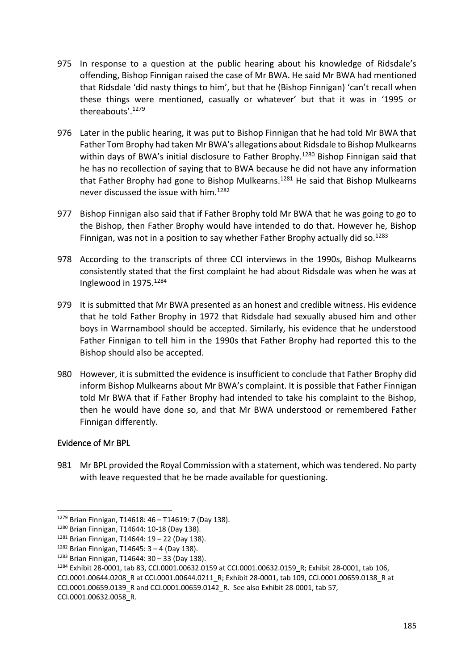- 975 In response to a question at the public hearing about his knowledge of Ridsdale's offending, Bishop Finnigan raised the case of Mr BWA. He said Mr BWA had mentioned that Ridsdale 'did nasty things to him', but that he (Bishop Finnigan) 'can't recall when these things were mentioned, casually or whatever' but that it was in '1995 or thereabouts'.<sup>1279</sup>
- 976 Later in the public hearing, it was put to Bishop Finnigan that he had told Mr BWA that Father Tom Brophy had taken Mr BWA's allegations about Ridsdale to Bishop Mulkearns within days of BWA's initial disclosure to Father Brophy.<sup>1280</sup> Bishop Finnigan said that he has no recollection of saying that to BWA because he did not have any information that Father Brophy had gone to Bishop Mulkearns.<sup>1281</sup> He said that Bishop Mulkearns never discussed the issue with him.<sup>1282</sup>
- 977 Bishop Finnigan also said that if Father Brophy told Mr BWA that he was going to go to the Bishop, then Father Brophy would have intended to do that. However he, Bishop Finnigan, was not in a position to say whether Father Brophy actually did so.<sup>1283</sup>
- 978 According to the transcripts of three CCI interviews in the 1990s, Bishop Mulkearns consistently stated that the first complaint he had about Ridsdale was when he was at Inglewood in 1975.<sup>1284</sup>
- 979 It is submitted that Mr BWA presented as an honest and credible witness. His evidence that he told Father Brophy in 1972 that Ridsdale had sexually abused him and other boys in Warrnambool should be accepted. Similarly, his evidence that he understood Father Finnigan to tell him in the 1990s that Father Brophy had reported this to the Bishop should also be accepted.
- 980 However, it is submitted the evidence is insufficient to conclude that Father Brophy did inform Bishop Mulkearns about Mr BWA's complaint. It is possible that Father Finnigan told Mr BWA that if Father Brophy had intended to take his complaint to the Bishop, then he would have done so, and that Mr BWA understood or remembered Father Finnigan differently.

## Evidence of Mr BPL

**.** 

981 Mr BPL provided the Royal Commission with a statement, which was tendered. No party with leave requested that he be made available for questioning.

CCI.0001.00632.0058\_R.

<sup>1279</sup> Brian Finnigan, T14618: 46 – T14619: 7 (Day 138).

<sup>1280</sup> Brian Finnigan, T14644: 10-18 (Day 138).

 $1281$  Brian Finnigan, T14644: 19 – 22 (Day 138).

 $1282$  Brian Finnigan, T14645: 3 – 4 (Day 138).

 $1283$  Brian Finnigan, T14644: 30 – 33 (Day 138).

<sup>1284</sup> Exhibit 28-0001, tab 83, CCI.0001.00632.0159 at CCI.0001.00632.0159\_R; Exhibit 28-0001, tab 106,

CCI.0001.00644.0208\_R at CCI.0001.00644.0211\_R; Exhibit 28-0001, tab 109, CCI.0001.00659.0138\_R at CCI.0001.00659.0139\_R and CCI.0001.00659.0142\_R. See also Exhibit 28-0001, tab 57,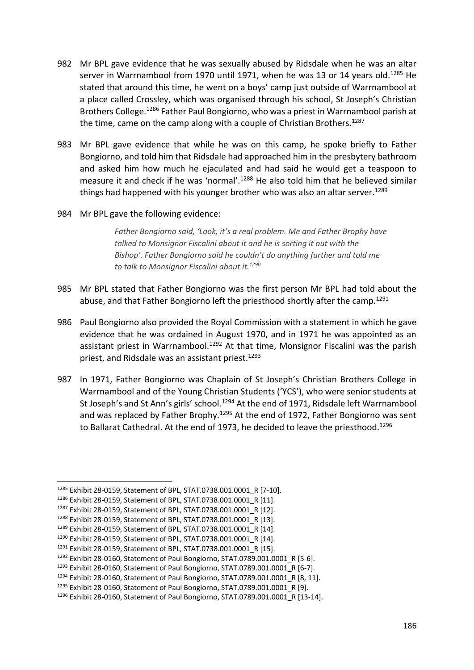- 982 Mr BPL gave evidence that he was sexually abused by Ridsdale when he was an altar server in Warrnambool from 1970 until 1971, when he was 13 or 14 years old.<sup>1285</sup> He stated that around this time, he went on a boys' camp just outside of Warrnambool at a place called Crossley, which was organised through his school, St Joseph's Christian Brothers College.<sup>1286</sup> Father Paul Bongiorno, who was a priest in Warrnambool parish at the time, came on the camp along with a couple of Christian Brothers.<sup>1287</sup>
- 983 Mr BPL gave evidence that while he was on this camp, he spoke briefly to Father Bongiorno, and told him that Ridsdale had approached him in the presbytery bathroom and asked him how much he ejaculated and had said he would get a teaspoon to measure it and check if he was 'normal'.<sup>1288</sup> He also told him that he believed similar things had happened with his younger brother who was also an altar server.<sup>1289</sup>
- 984 Mr BPL gave the following evidence:

*Father Bongiorno said, 'Look, it's a real problem. Me and Father Brophy have talked to Monsignor Fiscalini about it and he is sorting it out with the Bishop'. Father Bongiorno said he couldn't do anything further and told me to talk to Monsignor Fiscalini about it.<sup>1290</sup>*

- 985 Mr BPL stated that Father Bongiorno was the first person Mr BPL had told about the abuse, and that Father Bongiorno left the priesthood shortly after the camp.<sup>1291</sup>
- 986 Paul Bongiorno also provided the Royal Commission with a statement in which he gave evidence that he was ordained in August 1970, and in 1971 he was appointed as an assistant priest in Warrnambool.<sup>1292</sup> At that time. Monsignor Fiscalini was the parish priest, and Ridsdale was an assistant priest.<sup>1293</sup>
- 987 In 1971, Father Bongiorno was Chaplain of St Joseph's Christian Brothers College in Warrnambool and of the Young Christian Students ('YCS'), who were senior students at St Joseph's and St Ann's girls' school.<sup>1294</sup> At the end of 1971, Ridsdale left Warrnambool and was replaced by Father Brophy.<sup>1295</sup> At the end of 1972. Father Bongiorno was sent to Ballarat Cathedral. At the end of 1973, he decided to leave the priesthood.<sup>1296</sup>

<sup>1285</sup> Exhibit 28-0159, Statement of BPL, STAT.0738.001.0001\_R [7-10].

<sup>1286</sup> Exhibit 28-0159, Statement of BPL, STAT.0738.001.0001\_R [11].

<sup>1287</sup> Exhibit 28-0159, Statement of BPL, STAT.0738.001.0001\_R [12].

<sup>1288</sup> Exhibit 28-0159, Statement of BPL, STAT.0738.001.0001\_R [13].

<sup>1289</sup> Exhibit 28-0159, Statement of BPL, STAT.0738.001.0001\_R [14].

<sup>1290</sup> Exhibit 28-0159, Statement of BPL, STAT.0738.001.0001\_R [14].

<sup>1291</sup> Exhibit 28-0159, Statement of BPL, STAT.0738.001.0001\_R [15].

<sup>&</sup>lt;sup>1292</sup> Exhibit 28-0160, Statement of Paul Bongiorno, STAT.0789.001.0001\_R [5-6].

<sup>1293</sup> Exhibit 28-0160, Statement of Paul Bongiorno, STAT.0789.001.0001\_R [6-7].

<sup>1294</sup> Exhibit 28-0160, Statement of Paul Bongiorno, STAT.0789.001.0001\_R [8, 11].

<sup>&</sup>lt;sup>1295</sup> Exhibit 28-0160, Statement of Paul Bongiorno, STAT.0789.001.0001\_R [9].

<sup>1296</sup> Exhibit 28-0160, Statement of Paul Bongiorno, STAT.0789.001.0001\_R [13-14].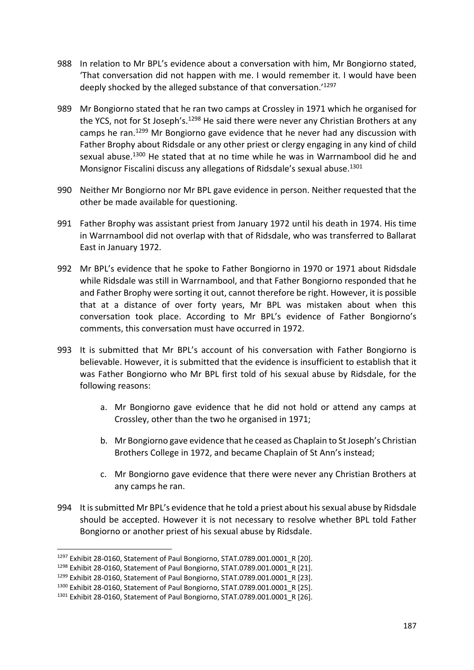- 988 In relation to Mr BPL's evidence about a conversation with him, Mr Bongiorno stated, 'That conversation did not happen with me. I would remember it. I would have been deeply shocked by the alleged substance of that conversation.'1297
- 989 Mr Bongiorno stated that he ran two camps at Crossley in 1971 which he organised for the YCS, not for St Joseph's.<sup>1298</sup> He said there were never any Christian Brothers at any camps he ran.<sup>1299</sup> Mr Bongiorno gave evidence that he never had any discussion with Father Brophy about Ridsdale or any other priest or clergy engaging in any kind of child sexual abuse.<sup>1300</sup> He stated that at no time while he was in Warrnambool did he and Monsignor Fiscalini discuss any allegations of Ridsdale's sexual abuse.<sup>1301</sup>
- 990 Neither Mr Bongiorno nor Mr BPL gave evidence in person. Neither requested that the other be made available for questioning.
- 991 Father Brophy was assistant priest from January 1972 until his death in 1974. His time in Warrnambool did not overlap with that of Ridsdale, who was transferred to Ballarat East in January 1972.
- 992 Mr BPL's evidence that he spoke to Father Bongiorno in 1970 or 1971 about Ridsdale while Ridsdale was still in Warrnambool, and that Father Bongiorno responded that he and Father Brophy were sorting it out, cannot therefore be right. However, it is possible that at a distance of over forty years, Mr BPL was mistaken about when this conversation took place. According to Mr BPL's evidence of Father Bongiorno's comments, this conversation must have occurred in 1972.
- 993 It is submitted that Mr BPL's account of his conversation with Father Bongiorno is believable. However, it is submitted that the evidence is insufficient to establish that it was Father Bongiorno who Mr BPL first told of his sexual abuse by Ridsdale, for the following reasons:
	- a. Mr Bongiorno gave evidence that he did not hold or attend any camps at Crossley, other than the two he organised in 1971;
	- b. Mr Bongiorno gave evidence that he ceased as Chaplain to St Joseph's Christian Brothers College in 1972, and became Chaplain of St Ann's instead;
	- c. Mr Bongiorno gave evidence that there were never any Christian Brothers at any camps he ran.
- 994 It is submitted Mr BPL's evidence that he told a priest about his sexual abuse by Ridsdale should be accepted. However it is not necessary to resolve whether BPL told Father Bongiorno or another priest of his sexual abuse by Ridsdale.

<sup>&</sup>lt;sup>1297</sup> Exhibit 28-0160, Statement of Paul Bongiorno, STAT.0789.001.0001\_R [20].

<sup>1298</sup> Exhibit 28-0160, Statement of Paul Bongiorno, STAT.0789.001.0001\_R [21].

<sup>&</sup>lt;sup>1299</sup> Exhibit 28-0160, Statement of Paul Bongiorno, STAT.0789.001.0001\_R [23].

<sup>1300</sup> Exhibit 28-0160, Statement of Paul Bongiorno, STAT.0789.001.0001 R [25].

<sup>1301</sup> Exhibit 28-0160, Statement of Paul Bongiorno, STAT.0789.001.0001\_R [26].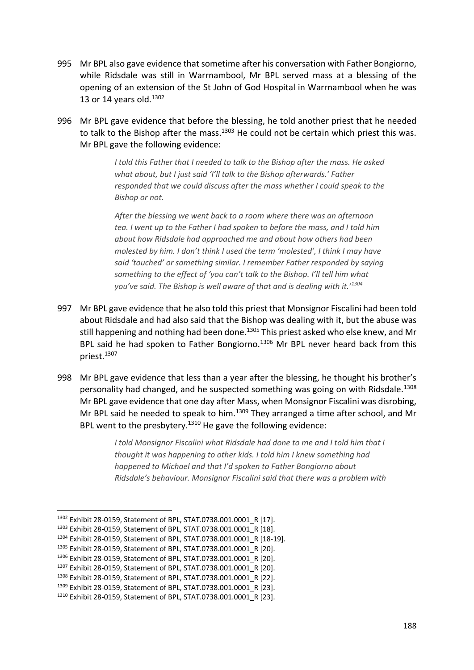- 995 Mr BPL also gave evidence that sometime after his conversation with Father Bongiorno, while Ridsdale was still in Warrnambool, Mr BPL served mass at a blessing of the opening of an extension of the St John of God Hospital in Warrnambool when he was 13 or 14 years old. $1302$
- 996 Mr BPL gave evidence that before the blessing, he told another priest that he needed to talk to the Bishop after the mass. $1303$  He could not be certain which priest this was. Mr BPL gave the following evidence:

*I told this Father that I needed to talk to the Bishop after the mass. He asked what about, but I just said 'I'll talk to the Bishop afterwards.' Father responded that we could discuss after the mass whether I could speak to the Bishop or not.*

*After the blessing we went back to a room where there was an afternoon tea. I went up to the Father I had spoken to before the mass, and I told him about how Ridsdale had approached me and about how others had been molested by him. I don't think I used the term 'molested', I think I may have said 'touched' or something similar. I remember Father responded by saying something to the effect of 'you can't talk to the Bishop. I'll tell him what you've said. The Bishop is well aware of that and is dealing with it.'<sup>1304</sup>*

- 997 Mr BPL gave evidence that he also told this priest that Monsignor Fiscalini had been told about Ridsdale and had also said that the Bishop was dealing with it, but the abuse was still happening and nothing had been done.<sup>1305</sup> This priest asked who else knew, and Mr BPL said he had spoken to Father Bongiorno.<sup>1306</sup> Mr BPL never heard back from this priest.<sup>1307</sup>
- 998 Mr BPL gave evidence that less than a year after the blessing, he thought his brother's personality had changed, and he suspected something was going on with Ridsdale.<sup>1308</sup> Mr BPL gave evidence that one day after Mass, when Monsignor Fiscalini was disrobing, Mr BPL said he needed to speak to him.<sup>1309</sup> They arranged a time after school, and Mr BPL went to the presbytery. $1310$  He gave the following evidence:

*I told Monsignor Fiscalini what Ridsdale had done to me and I told him that I thought it was happening to other kids. I told him I knew something had happened to Michael and that I'd spoken to Father Bongiorno about Ridsdale's behaviour. Monsignor Fiscalini said that there was a problem with* 

<sup>1302</sup> Exhibit 28-0159, Statement of BPL, STAT.0738.001.0001\_R [17].

<sup>1303</sup> Exhibit 28-0159, Statement of BPL, STAT.0738.001.0001\_R [18].

<sup>1304</sup> Exhibit 28-0159, Statement of BPL, STAT.0738.001.0001\_R [18-19].

<sup>1305</sup> Exhibit 28-0159, Statement of BPL, STAT.0738.001.0001\_R [20].

<sup>1306</sup> Exhibit 28-0159, Statement of BPL, STAT.0738.001.0001 R [20].

<sup>1307</sup> Exhibit 28-0159, Statement of BPL, STAT.0738.001.0001\_R [20].

<sup>1308</sup> Exhibit 28-0159, Statement of BPL, STAT.0738.001.0001\_R [22].

<sup>1309</sup> Exhibit 28-0159, Statement of BPL, STAT.0738.001.0001\_R [23].

<sup>1310</sup> Exhibit 28-0159, Statement of BPL, STAT.0738.001.0001\_R [23].